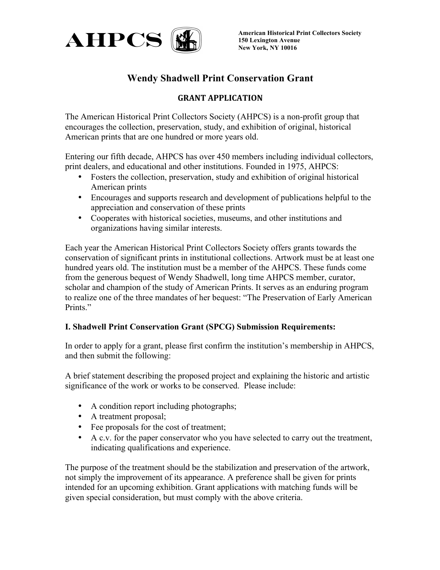

**150 Lexington Avenue New York, NY 10016**

# **Wendy Shadwell Print Conservation Grant**

## **GRANT APPLICATION**

The American Historical Print Collectors Society (AHPCS) is a non-profit group that encourages the collection, preservation, study, and exhibition of original, historical American prints that are one hundred or more years old.

Entering our fifth decade, AHPCS has over 450 members including individual collectors, print dealers, and educational and other institutions. Founded in 1975, AHPCS:

- Fosters the collection, preservation, study and exhibition of original historical American prints
- Encourages and supports research and development of publications helpful to the appreciation and conservation of these prints
- Cooperates with historical societies, museums, and other institutions and organizations having similar interests.

Each year the American Historical Print Collectors Society offers grants towards the conservation of significant prints in institutional collections. Artwork must be at least one hundred years old. The institution must be a member of the AHPCS. These funds come from the generous bequest of Wendy Shadwell, long time AHPCS member, curator, scholar and champion of the study of American Prints. It serves as an enduring program to realize one of the three mandates of her bequest: "The Preservation of Early American Prints."

### **I. Shadwell Print Conservation Grant (SPCG) Submission Requirements:**

In order to apply for a grant, please first confirm the institution's membership in AHPCS, and then submit the following:

A brief statement describing the proposed project and explaining the historic and artistic significance of the work or works to be conserved. Please include:

- A condition report including photographs;
- A treatment proposal;
- Fee proposals for the cost of treatment;
- A c.v. for the paper conservator who you have selected to carry out the treatment, indicating qualifications and experience.

The purpose of the treatment should be the stabilization and preservation of the artwork, not simply the improvement of its appearance. A preference shall be given for prints intended for an upcoming exhibition. Grant applications with matching funds will be given special consideration, but must comply with the above criteria.